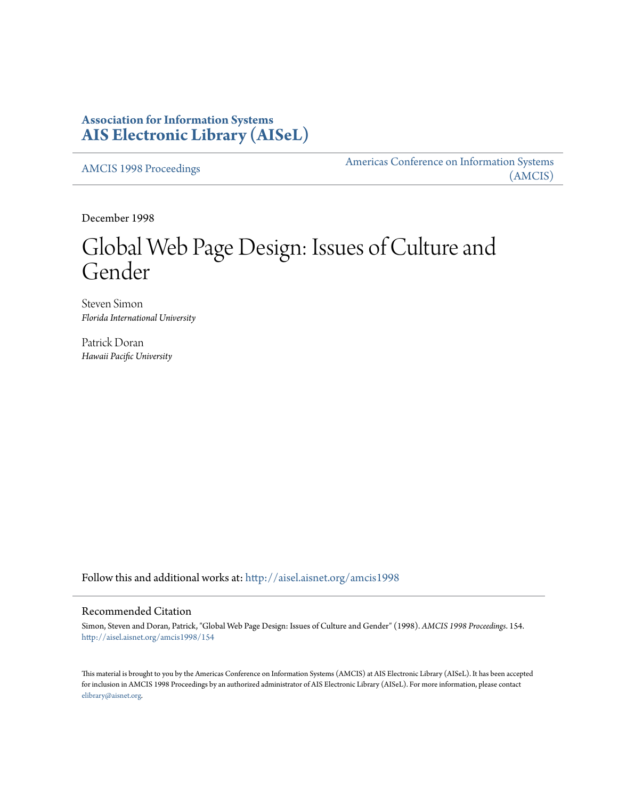# **Association for Information Systems [AIS Electronic Library \(AISeL\)](http://aisel.aisnet.org?utm_source=aisel.aisnet.org%2Famcis1998%2F154&utm_medium=PDF&utm_campaign=PDFCoverPages)**

[AMCIS 1998 Proceedings](http://aisel.aisnet.org/amcis1998?utm_source=aisel.aisnet.org%2Famcis1998%2F154&utm_medium=PDF&utm_campaign=PDFCoverPages)

[Americas Conference on Information Systems](http://aisel.aisnet.org/amcis?utm_source=aisel.aisnet.org%2Famcis1998%2F154&utm_medium=PDF&utm_campaign=PDFCoverPages) [\(AMCIS\)](http://aisel.aisnet.org/amcis?utm_source=aisel.aisnet.org%2Famcis1998%2F154&utm_medium=PDF&utm_campaign=PDFCoverPages)

December 1998

# Global Web Page Design: Issues of Culture and Gender

Steven Simon *Florida International University*

Patrick Doran *Hawaii Pacific University*

Follow this and additional works at: [http://aisel.aisnet.org/amcis1998](http://aisel.aisnet.org/amcis1998?utm_source=aisel.aisnet.org%2Famcis1998%2F154&utm_medium=PDF&utm_campaign=PDFCoverPages)

# Recommended Citation

Simon, Steven and Doran, Patrick, "Global Web Page Design: Issues of Culture and Gender" (1998). *AMCIS 1998 Proceedings*. 154. [http://aisel.aisnet.org/amcis1998/154](http://aisel.aisnet.org/amcis1998/154?utm_source=aisel.aisnet.org%2Famcis1998%2F154&utm_medium=PDF&utm_campaign=PDFCoverPages)

This material is brought to you by the Americas Conference on Information Systems (AMCIS) at AIS Electronic Library (AISeL). It has been accepted for inclusion in AMCIS 1998 Proceedings by an authorized administrator of AIS Electronic Library (AISeL). For more information, please contact [elibrary@aisnet.org.](mailto:elibrary@aisnet.org%3E)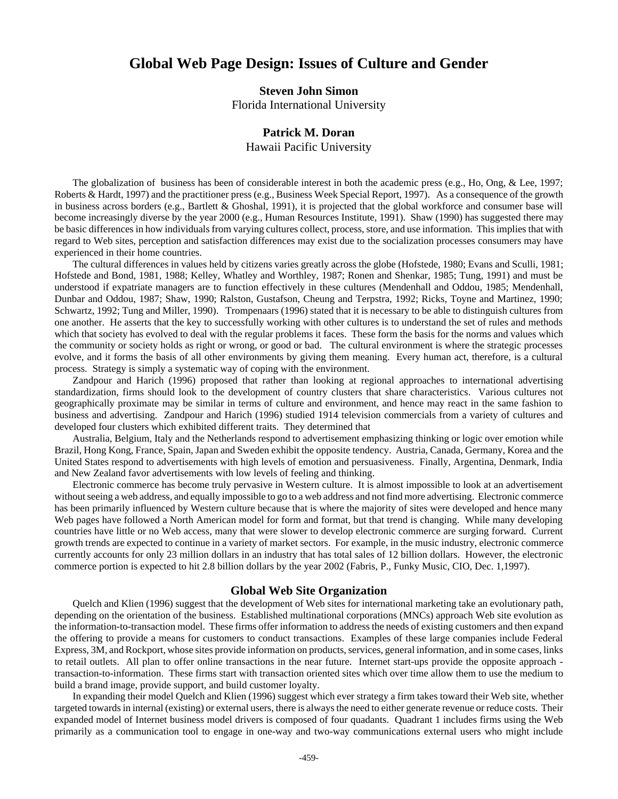# **Global Web Page Design: Issues of Culture and Gender**

## **Steven John Simon**

Florida International University

# **Patrick M. Doran**

Hawaii Pacific University

The globalization of business has been of considerable interest in both the academic press (e.g., Ho, Ong, & Lee, 1997; Roberts & Hardt, 1997) and the practitioner press (e.g., Business Week Special Report, 1997). As a consequence of the growth in business across borders (e.g., Bartlett & Ghoshal, 1991), it is projected that the global workforce and consumer base will become increasingly diverse by the year 2000 (e.g., Human Resources Institute, 1991). Shaw (1990) has suggested there may be basic differences in how individuals from varying cultures collect, process, store, and use information. This implies that with regard to Web sites, perception and satisfaction differences may exist due to the socialization processes consumers may have experienced in their home countries.

The cultural differences in values held by citizens varies greatly across the globe (Hofstede, 1980; Evans and Sculli, 1981; Hofstede and Bond, 1981, 1988; Kelley, Whatley and Worthley, 1987; Ronen and Shenkar, 1985; Tung, 1991) and must be understood if expatriate managers are to function effectively in these cultures (Mendenhall and Oddou, 1985; Mendenhall, Dunbar and Oddou, 1987; Shaw, 1990; Ralston, Gustafson, Cheung and Terpstra, 1992; Ricks, Toyne and Martinez, 1990; Schwartz, 1992; Tung and Miller, 1990). Trompenaars (1996) stated that it is necessary to be able to distinguish cultures from one another. He asserts that the key to successfully working with other cultures is to understand the set of rules and methods which that society has evolved to deal with the regular problems it faces. These form the basis for the norms and values which the community or society holds as right or wrong, or good or bad. The cultural environment is where the strategic processes evolve, and it forms the basis of all other environments by giving them meaning. Every human act, therefore, is a cultural process. Strategy is simply a systematic way of coping with the environment.

Zandpour and Harich (1996) proposed that rather than looking at regional approaches to international advertising standardization, firms should look to the development of country clusters that share characteristics. Various cultures not geographically proximate may be similar in terms of culture and environment, and hence may react in the same fashion to business and advertising. Zandpour and Harich (1996) studied 1914 television commercials from a variety of cultures and developed four clusters which exhibited different traits. They determined that

Australia, Belgium, Italy and the Netherlands respond to advertisement emphasizing thinking or logic over emotion while Brazil, Hong Kong, France, Spain, Japan and Sweden exhibit the opposite tendency. Austria, Canada, Germany, Korea and the United States respond to advertisements with high levels of emotion and persuasiveness. Finally, Argentina, Denmark, India and New Zealand favor advertisements with low levels of feeling and thinking.

Electronic commerce has become truly pervasive in Western culture. It is almost impossible to look at an advertisement without seeing a web address, and equally impossible to go to a web address and not find more advertising. Electronic commerce has been primarily influenced by Western culture because that is where the majority of sites were developed and hence many Web pages have followed a North American model for form and format, but that trend is changing. While many developing countries have little or no Web access, many that were slower to develop electronic commerce are surging forward. Current growth trends are expected to continue in a variety of market sectors. For example, in the music industry, electronic commerce currently accounts for only 23 million dollars in an industry that has total sales of 12 billion dollars. However, the electronic commerce portion is expected to hit 2.8 billion dollars by the year 2002 (Fabris, P., Funky Music, CIO, Dec. 1,1997).

#### **Global Web Site Organization**

Quelch and Klien (1996) suggest that the development of Web sites for international marketing take an evolutionary path, depending on the orientation of the business. Established multinational corporations (MNCs) approach Web site evolution as the information-to-transaction model. These firms offer information to address the needs of existing customers and then expand the offering to provide a means for customers to conduct transactions. Examples of these large companies include Federal Express, 3M, and Rockport, whose sites provide information on products, services, general information, and in some cases, links to retail outlets. All plan to offer online transactions in the near future. Internet start-ups provide the opposite approach transaction-to-information. These firms start with transaction oriented sites which over time allow them to use the medium to build a brand image, provide support, and build customer loyalty.

In expanding their model Quelch and Klien (1996) suggest which ever strategy a firm takes toward their Web site, whether targeted towards in internal (existing) or external users, there is always the need to either generate revenue or reduce costs. Their expanded model of Internet business model drivers is composed of four quadants. Quadrant 1 includes firms using the Web primarily as a communication tool to engage in one-way and two-way communications external users who might include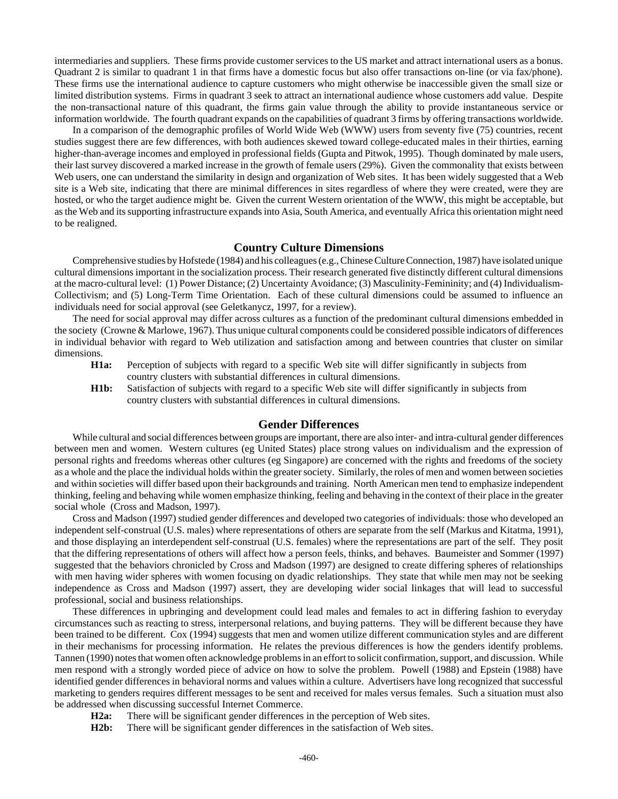intermediaries and suppliers. These firms provide customer services to the US market and attract international users as a bonus. Quadrant 2 is similar to quadrant 1 in that firms have a domestic focus but also offer transactions on-line (or via fax/phone). These firms use the international audience to capture customers who might otherwise be inaccessible given the small size or limited distribution systems. Firms in quadrant 3 seek to attract an international audience whose customers add value. Despite the non-transactional nature of this quadrant, the firms gain value through the ability to provide instantaneous service or information worldwide. The fourth quadrant expands on the capabilities of quadrant 3 firms by offering transactions worldwide.

In a comparison of the demographic profiles of World Wide Web (WWW) users from seventy five (75) countries, recent studies suggest there are few differences, with both audiences skewed toward college-educated males in their thirties, earning higher-than-average incomes and employed in professional fields (Gupta and Pitwok, 1995). Though dominated by male users, their last survey discovered a marked increase in the growth of female users (29%). Given the commonality that exists between Web users, one can understand the similarity in design and organization of Web sites. It has been widely suggested that a Web site is a Web site, indicating that there are minimal differences in sites regardless of where they were created, were they are hosted, or who the target audience might be. Given the current Western orientation of the WWW, this might be acceptable, but as the Web and its supporting infrastructure expands into Asia, South America, and eventually Africa this orientation might need to be realigned.

#### **Country Culture Dimensions**

Comprehensive studies by Hofstede (1984) and his colleagues (e.g., Chinese Culture Connection, 1987) have isolated unique cultural dimensions important in the socialization process. Their research generated five distinctly different cultural dimensions at the macro-cultural level: (1) Power Distance; (2) Uncertainty Avoidance; (3) Masculinity-Femininity; and (4) Individualism-Collectivism; and (5) Long-Term Time Orientation. Each of these cultural dimensions could be assumed to influence an individuals need for social approval (see Geletkanycz, 1997, for a review).

The need for social approval may differ across cultures as a function of the predominant cultural dimensions embedded in the society (Crowne & Marlowe, 1967). Thus unique cultural components could be considered possible indicators of differences in individual behavior with regard to Web utilization and satisfaction among and between countries that cluster on similar dimensions.

- **H1a:** Perception of subjects with regard to a specific Web site will differ significantly in subjects from country clusters with substantial differences in cultural dimensions.
- **H1b:** Satisfaction of subjects with regard to a specific Web site will differ significantly in subjects from country clusters with substantial differences in cultural dimensions.

## **Gender Differences**

While cultural and social differences between groups are important, there are also inter- and intra-cultural gender differences between men and women. Western cultures (eg United States) place strong values on individualism and the expression of personal rights and freedoms whereas other cultures (eg Singapore) are concerned with the rights and freedoms of the society as a whole and the place the individual holds within the greater society. Similarly, the roles of men and women between societies and within societies will differ based upon their backgrounds and training. North American men tend to emphasize independent thinking, feeling and behaving while women emphasize thinking, feeling and behaving in the context of their place in the greater social whole (Cross and Madson, 1997).

Cross and Madson (1997) studied gender differences and developed two categories of individuals: those who developed an independent self-construal (U.S. males) where representations of others are separate from the self (Markus and Kitatma, 1991), and those displaying an interdependent self-construal (U.S. females) where the representations are part of the self. They posit that the differing representations of others will affect how a person feels, thinks, and behaves. Baumeister and Sommer (1997) suggested that the behaviors chronicled by Cross and Madson (1997) are designed to create differing spheres of relationships with men having wider spheres with women focusing on dyadic relationships. They state that while men may not be seeking independence as Cross and Madson (1997) assert, they are developing wider social linkages that will lead to successful professional, social and business relationships.

These differences in upbringing and development could lead males and females to act in differing fashion to everyday circumstances such as reacting to stress, interpersonal relations, and buying patterns. They will be different because they have been trained to be different. Cox (1994) suggests that men and women utilize different communication styles and are different in their mechanisms for processing information. He relates the previous differences is how the genders identify problems. Tannen (1990) notes that women often acknowledge problems in an effort to solicit confirmation, support, and discussion. While men respond with a strongly worded piece of advice on how to solve the problem. Powell (1988) and Epstein (1988) have identified gender differences in behavioral norms and values within a culture. Advertisers have long recognized that successful marketing to genders requires different messages to be sent and received for males versus females. Such a situation must also be addressed when discussing successful Internet Commerce.

- **H2a:** There will be significant gender differences in the perception of Web sites.
- **H2b:** There will be significant gender differences in the satisfaction of Web sites.